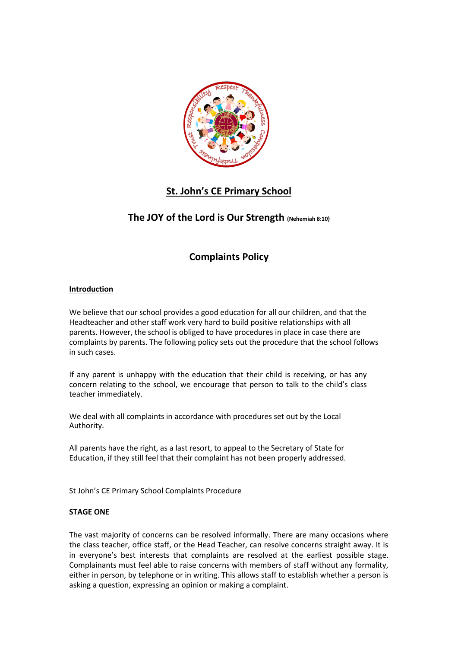

# **St. John's CE Primary School**

## **The JOY of the Lord is Our Strength (Nehemiah 8:10)**

# **Complaints Policy**

### **Introduction**

We believe that our school provides a good education for all our children, and that the Headteacher and other staff work very hard to build positive relationships with all parents. However, the school is obliged to have procedures in place in case there are complaints by parents. The following policy sets out the procedure that the school follows in such cases.

If any parent is unhappy with the education that their child is receiving, or has any concern relating to the school, we encourage that person to talk to the child's class teacher immediately.

We deal with all complaints in accordance with procedures set out by the Local Authority.

All parents have the right, as a last resort, to appeal to the Secretary of State for Education, if they still feel that their complaint has not been properly addressed.

St John's CE Primary School Complaints Procedure

### **STAGE ONE**

The vast majority of concerns can be resolved informally. There are many occasions where the class teacher, office staff, or the Head Teacher, can resolve concerns straight away. It is in everyone's best interests that complaints are resolved at the earliest possible stage. Complainants must feel able to raise concerns with members of staff without any formality, either in person, by telephone or in writing. This allows staff to establish whether a person is asking a question, expressing an opinion or making a complaint.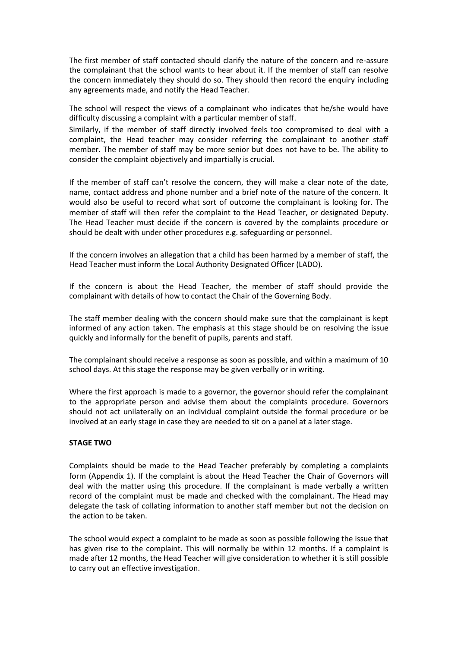The first member of staff contacted should clarify the nature of the concern and re-assure the complainant that the school wants to hear about it. If the member of staff can resolve the concern immediately they should do so. They should then record the enquiry including any agreements made, and notify the Head Teacher.

The school will respect the views of a complainant who indicates that he/she would have difficulty discussing a complaint with a particular member of staff.

Similarly, if the member of staff directly involved feels too compromised to deal with a complaint, the Head teacher may consider referring the complainant to another staff member. The member of staff may be more senior but does not have to be. The ability to consider the complaint objectively and impartially is crucial.

If the member of staff can't resolve the concern, they will make a clear note of the date, name, contact address and phone number and a brief note of the nature of the concern. It would also be useful to record what sort of outcome the complainant is looking for. The member of staff will then refer the complaint to the Head Teacher, or designated Deputy. The Head Teacher must decide if the concern is covered by the complaints procedure or should be dealt with under other procedures e.g. safeguarding or personnel.

If the concern involves an allegation that a child has been harmed by a member of staff, the Head Teacher must inform the Local Authority Designated Officer (LADO).

If the concern is about the Head Teacher, the member of staff should provide the complainant with details of how to contact the Chair of the Governing Body.

The staff member dealing with the concern should make sure that the complainant is kept informed of any action taken. The emphasis at this stage should be on resolving the issue quickly and informally for the benefit of pupils, parents and staff.

The complainant should receive a response as soon as possible, and within a maximum of 10 school days. At this stage the response may be given verbally or in writing.

Where the first approach is made to a governor, the governor should refer the complainant to the appropriate person and advise them about the complaints procedure. Governors should not act unilaterally on an individual complaint outside the formal procedure or be involved at an early stage in case they are needed to sit on a panel at a later stage.

### **STAGE TWO**

Complaints should be made to the Head Teacher preferably by completing a complaints form (Appendix 1). If the complaint is about the Head Teacher the Chair of Governors will deal with the matter using this procedure. If the complainant is made verbally a written record of the complaint must be made and checked with the complainant. The Head may delegate the task of collating information to another staff member but not the decision on the action to be taken.

The school would expect a complaint to be made as soon as possible following the issue that has given rise to the complaint. This will normally be within 12 months. If a complaint is made after 12 months, the Head Teacher will give consideration to whether it is still possible to carry out an effective investigation.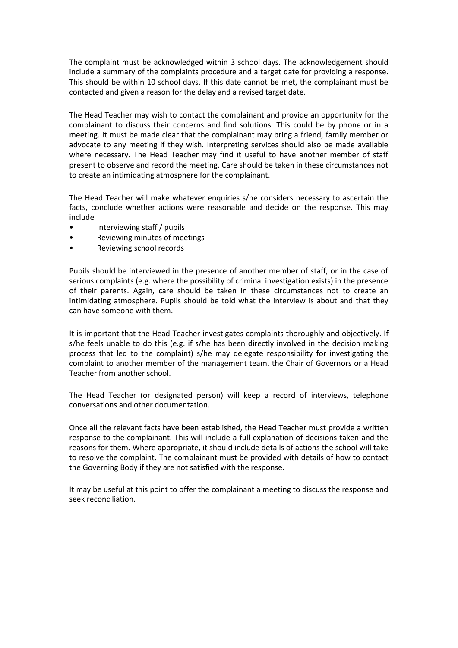The complaint must be acknowledged within 3 school days. The acknowledgement should include a summary of the complaints procedure and a target date for providing a response. This should be within 10 school days. If this date cannot be met, the complainant must be contacted and given a reason for the delay and a revised target date.

The Head Teacher may wish to contact the complainant and provide an opportunity for the complainant to discuss their concerns and find solutions. This could be by phone or in a meeting. It must be made clear that the complainant may bring a friend, family member or advocate to any meeting if they wish. Interpreting services should also be made available where necessary. The Head Teacher may find it useful to have another member of staff present to observe and record the meeting. Care should be taken in these circumstances not to create an intimidating atmosphere for the complainant.

The Head Teacher will make whatever enquiries s/he considers necessary to ascertain the facts, conclude whether actions were reasonable and decide on the response. This may include

- Interviewing staff / pupils
- Reviewing minutes of meetings
- Reviewing school records

Pupils should be interviewed in the presence of another member of staff, or in the case of serious complaints (e.g. where the possibility of criminal investigation exists) in the presence of their parents. Again, care should be taken in these circumstances not to create an intimidating atmosphere. Pupils should be told what the interview is about and that they can have someone with them.

It is important that the Head Teacher investigates complaints thoroughly and objectively. If s/he feels unable to do this (e.g. if s/he has been directly involved in the decision making process that led to the complaint) s/he may delegate responsibility for investigating the complaint to another member of the management team, the Chair of Governors or a Head Teacher from another school.

The Head Teacher (or designated person) will keep a record of interviews, telephone conversations and other documentation.

Once all the relevant facts have been established, the Head Teacher must provide a written response to the complainant. This will include a full explanation of decisions taken and the reasons for them. Where appropriate, it should include details of actions the school will take to resolve the complaint. The complainant must be provided with details of how to contact the Governing Body if they are not satisfied with the response.

It may be useful at this point to offer the complainant a meeting to discuss the response and seek reconciliation.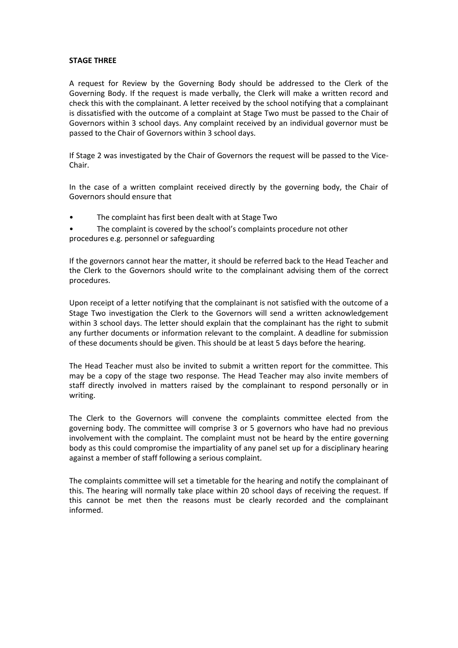### **STAGE THREE**

A request for Review by the Governing Body should be addressed to the Clerk of the Governing Body. If the request is made verbally, the Clerk will make a written record and check this with the complainant. A letter received by the school notifying that a complainant is dissatisfied with the outcome of a complaint at Stage Two must be passed to the Chair of Governors within 3 school days. Any complaint received by an individual governor must be passed to the Chair of Governors within 3 school days.

If Stage 2 was investigated by the Chair of Governors the request will be passed to the Vice-Chair.

In the case of a written complaint received directly by the governing body, the Chair of Governors should ensure that

• The complaint has first been dealt with at Stage Two

The complaint is covered by the school's complaints procedure not other procedures e.g. personnel or safeguarding

If the governors cannot hear the matter, it should be referred back to the Head Teacher and the Clerk to the Governors should write to the complainant advising them of the correct procedures.

Upon receipt of a letter notifying that the complainant is not satisfied with the outcome of a Stage Two investigation the Clerk to the Governors will send a written acknowledgement within 3 school days. The letter should explain that the complainant has the right to submit any further documents or information relevant to the complaint. A deadline for submission of these documents should be given. This should be at least 5 days before the hearing.

The Head Teacher must also be invited to submit a written report for the committee. This may be a copy of the stage two response. The Head Teacher may also invite members of staff directly involved in matters raised by the complainant to respond personally or in writing.

The Clerk to the Governors will convene the complaints committee elected from the governing body. The committee will comprise 3 or 5 governors who have had no previous involvement with the complaint. The complaint must not be heard by the entire governing body as this could compromise the impartiality of any panel set up for a disciplinary hearing against a member of staff following a serious complaint.

The complaints committee will set a timetable for the hearing and notify the complainant of this. The hearing will normally take place within 20 school days of receiving the request. If this cannot be met then the reasons must be clearly recorded and the complainant informed.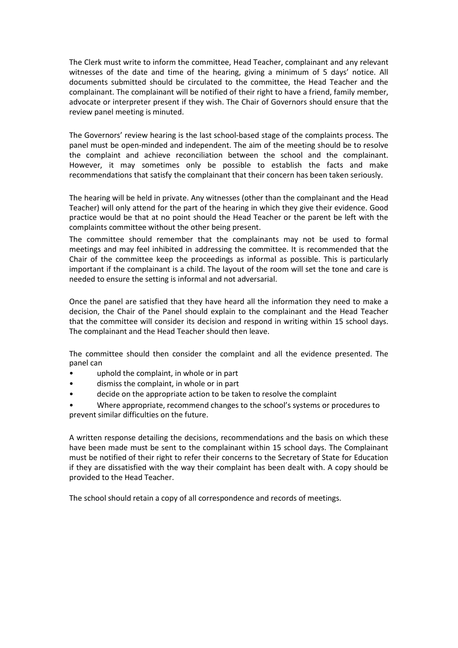The Clerk must write to inform the committee, Head Teacher, complainant and any relevant witnesses of the date and time of the hearing, giving a minimum of 5 days' notice. All documents submitted should be circulated to the committee, the Head Teacher and the complainant. The complainant will be notified of their right to have a friend, family member, advocate or interpreter present if they wish. The Chair of Governors should ensure that the review panel meeting is minuted.

The Governors' review hearing is the last school-based stage of the complaints process. The panel must be open-minded and independent. The aim of the meeting should be to resolve the complaint and achieve reconciliation between the school and the complainant. However, it may sometimes only be possible to establish the facts and make recommendations that satisfy the complainant that their concern has been taken seriously.

The hearing will be held in private. Any witnesses (other than the complainant and the Head Teacher) will only attend for the part of the hearing in which they give their evidence. Good practice would be that at no point should the Head Teacher or the parent be left with the complaints committee without the other being present.

The committee should remember that the complainants may not be used to formal meetings and may feel inhibited in addressing the committee. It is recommended that the Chair of the committee keep the proceedings as informal as possible. This is particularly important if the complainant is a child. The layout of the room will set the tone and care is needed to ensure the setting is informal and not adversarial.

Once the panel are satisfied that they have heard all the information they need to make a decision, the Chair of the Panel should explain to the complainant and the Head Teacher that the committee will consider its decision and respond in writing within 15 school days. The complainant and the Head Teacher should then leave.

The committee should then consider the complaint and all the evidence presented. The panel can

- uphold the complaint, in whole or in part
- dismiss the complaint, in whole or in part
- decide on the appropriate action to be taken to resolve the complaint

• Where appropriate, recommend changes to the school's systems or procedures to prevent similar difficulties on the future.

A written response detailing the decisions, recommendations and the basis on which these have been made must be sent to the complainant within 15 school days. The Complainant must be notified of their right to refer their concerns to the Secretary of State for Education if they are dissatisfied with the way their complaint has been dealt with. A copy should be provided to the Head Teacher.

The school should retain a copy of all correspondence and records of meetings.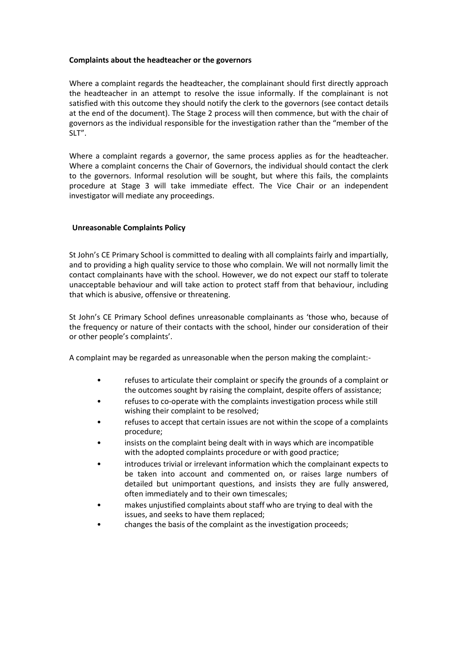### **Complaints about the headteacher or the governors**

Where a complaint regards the headteacher, the complainant should first directly approach the headteacher in an attempt to resolve the issue informally. If the complainant is not satisfied with this outcome they should notify the clerk to the governors (see contact details at the end of the document). The Stage 2 process will then commence, but with the chair of governors as the individual responsible for the investigation rather than the "member of the SLT".

Where a complaint regards a governor, the same process applies as for the headteacher. Where a complaint concerns the Chair of Governors, the individual should contact the clerk to the governors. Informal resolution will be sought, but where this fails, the complaints procedure at Stage 3 will take immediate effect. The Vice Chair or an independent investigator will mediate any proceedings.

### **Unreasonable Complaints Policy**

St John's CE Primary School is committed to dealing with all complaints fairly and impartially, and to providing a high quality service to those who complain. We will not normally limit the contact complainants have with the school. However, we do not expect our staff to tolerate unacceptable behaviour and will take action to protect staff from that behaviour, including that which is abusive, offensive or threatening.

St John's CE Primary School defines unreasonable complainants as 'those who, because of the frequency or nature of their contacts with the school, hinder our consideration of their or other people's complaints'.

A complaint may be regarded as unreasonable when the person making the complaint:-

- refuses to articulate their complaint or specify the grounds of a complaint or the outcomes sought by raising the complaint, despite offers of assistance;
- refuses to co-operate with the complaints investigation process while still wishing their complaint to be resolved;
- refuses to accept that certain issues are not within the scope of a complaints procedure;
- insists on the complaint being dealt with in ways which are incompatible with the adopted complaints procedure or with good practice;
- introduces trivial or irrelevant information which the complainant expects to be taken into account and commented on, or raises large numbers of detailed but unimportant questions, and insists they are fully answered, often immediately and to their own timescales;
- makes unjustified complaints about staff who are trying to deal with the issues, and seeks to have them replaced;
- changes the basis of the complaint as the investigation proceeds;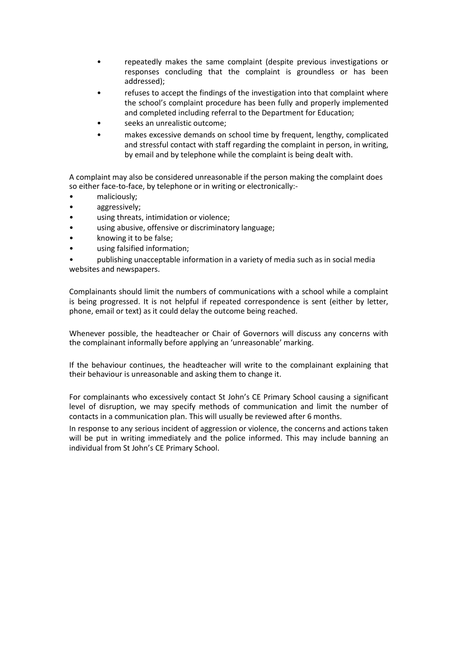- repeatedly makes the same complaint (despite previous investigations or responses concluding that the complaint is groundless or has been addressed);
- refuses to accept the findings of the investigation into that complaint where the school's complaint procedure has been fully and properly implemented and completed including referral to the Department for Education;
- seeks an unrealistic outcome:
- makes excessive demands on school time by frequent, lengthy, complicated and stressful contact with staff regarding the complaint in person, in writing, by email and by telephone while the complaint is being dealt with.

A complaint may also be considered unreasonable if the person making the complaint does so either face-to-face, by telephone or in writing or electronically:-

- maliciously;
- aggressively;
- using threats, intimidation or violence;
- using abusive, offensive or discriminatory language;
- knowing it to be false;
- using falsified information;

• publishing unacceptable information in a variety of media such as in social media websites and newspapers.

Complainants should limit the numbers of communications with a school while a complaint is being progressed. It is not helpful if repeated correspondence is sent (either by letter, phone, email or text) as it could delay the outcome being reached.

Whenever possible, the headteacher or Chair of Governors will discuss any concerns with the complainant informally before applying an 'unreasonable' marking.

If the behaviour continues, the headteacher will write to the complainant explaining that their behaviour is unreasonable and asking them to change it.

For complainants who excessively contact St John's CE Primary School causing a significant level of disruption, we may specify methods of communication and limit the number of contacts in a communication plan. This will usually be reviewed after 6 months.

In response to any serious incident of aggression or violence, the concerns and actions taken will be put in writing immediately and the police informed. This may include banning an individual from St John's CE Primary School.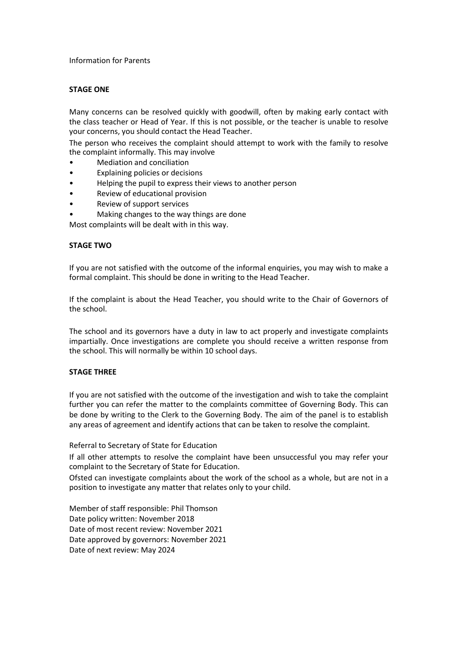#### Information for Parents

#### **STAGE ONE**

Many concerns can be resolved quickly with goodwill, often by making early contact with the class teacher or Head of Year. If this is not possible, or the teacher is unable to resolve your concerns, you should contact the Head Teacher.

The person who receives the complaint should attempt to work with the family to resolve the complaint informally. This may involve

- Mediation and conciliation
- Explaining policies or decisions
- Helping the pupil to express their views to another person
- Review of educational provision
- Review of support services
- Making changes to the way things are done

Most complaints will be dealt with in this way.

#### **STAGE TWO**

If you are not satisfied with the outcome of the informal enquiries, you may wish to make a formal complaint. This should be done in writing to the Head Teacher.

If the complaint is about the Head Teacher, you should write to the Chair of Governors of the school.

The school and its governors have a duty in law to act properly and investigate complaints impartially. Once investigations are complete you should receive a written response from the school. This will normally be within 10 school days.

#### **STAGE THREE**

If you are not satisfied with the outcome of the investigation and wish to take the complaint further you can refer the matter to the complaints committee of Governing Body. This can be done by writing to the Clerk to the Governing Body. The aim of the panel is to establish any areas of agreement and identify actions that can be taken to resolve the complaint.

Referral to Secretary of State for Education

If all other attempts to resolve the complaint have been unsuccessful you may refer your complaint to the Secretary of State for Education.

Ofsted can investigate complaints about the work of the school as a whole, but are not in a position to investigate any matter that relates only to your child.

Member of staff responsible: Phil Thomson Date policy written: November 2018 Date of most recent review: November 2021 Date approved by governors: November 2021 Date of next review: May 2024